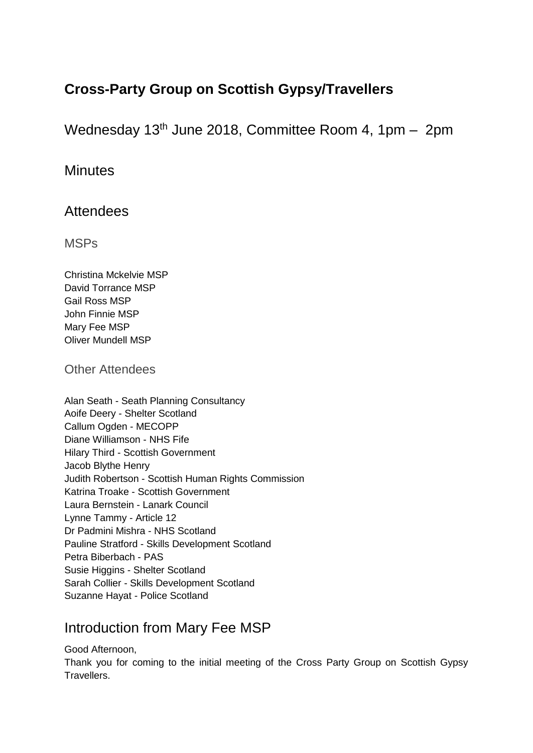# **Cross-Party Group on Scottish Gypsy/Travellers**

Wednesday 13th June 2018, Committee Room 4, 1pm – 2pm

## **Minutes**

## Attendees

MSPs

Christina Mckelvie MSP David Torrance MSP Gail Ross MSP John Finnie MSP Mary Fee MSP Oliver Mundell MSP

Other Attendees

Alan Seath - Seath Planning Consultancy Aoife Deery - Shelter Scotland Callum Ogden - MECOPP Diane Williamson - NHS Fife Hilary Third - Scottish Government Jacob Blythe Henry Judith Robertson - Scottish Human Rights Commission Katrina Troake - Scottish Government Laura Bernstein - Lanark Council Lynne Tammy - Article 12 Dr Padmini Mishra - NHS Scotland Pauline Stratford - Skills Development Scotland Petra Biberbach - PAS Susie Higgins - Shelter Scotland Sarah Collier - Skills Development Scotland Suzanne Hayat - Police Scotland

## Introduction from Mary Fee MSP

Good Afternoon,

Thank you for coming to the initial meeting of the Cross Party Group on Scottish Gypsy Travellers.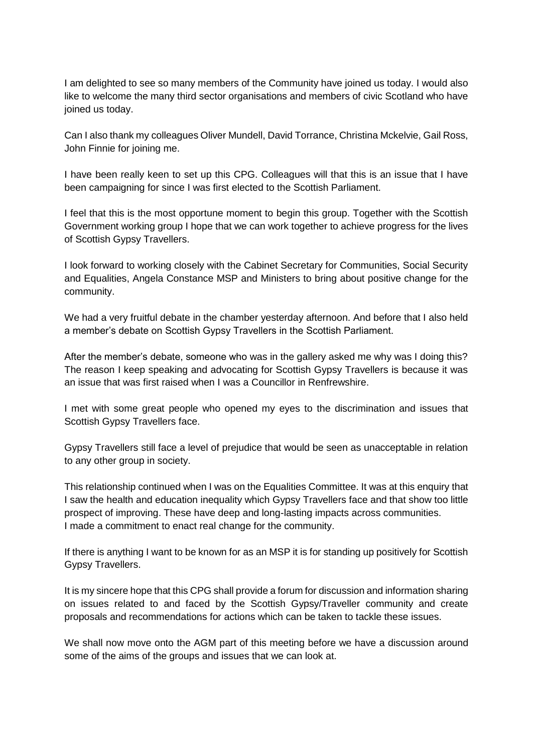I am delighted to see so many members of the Community have joined us today. I would also like to welcome the many third sector organisations and members of civic Scotland who have joined us today.

Can I also thank my colleagues Oliver Mundell, David Torrance, Christina Mckelvie, Gail Ross, John Finnie for joining me.

I have been really keen to set up this CPG. Colleagues will that this is an issue that I have been campaigning for since I was first elected to the Scottish Parliament.

I feel that this is the most opportune moment to begin this group. Together with the Scottish Government working group I hope that we can work together to achieve progress for the lives of Scottish Gypsy Travellers.

I look forward to working closely with the Cabinet Secretary for Communities, Social Security and Equalities, Angela Constance MSP and Ministers to bring about positive change for the community.

We had a very fruitful debate in the chamber yesterday afternoon. And before that I also held a member's debate on Scottish Gypsy Travellers in the Scottish Parliament.

After the member's debate, someone who was in the gallery asked me why was I doing this? The reason I keep speaking and advocating for Scottish Gypsy Travellers is because it was an issue that was first raised when I was a Councillor in Renfrewshire.

I met with some great people who opened my eyes to the discrimination and issues that Scottish Gypsy Travellers face.

Gypsy Travellers still face a level of prejudice that would be seen as unacceptable in relation to any other group in society.

This relationship continued when I was on the Equalities Committee. It was at this enquiry that I saw the health and education inequality which Gypsy Travellers face and that show too little prospect of improving. These have deep and long-lasting impacts across communities. I made a commitment to enact real change for the community.

If there is anything I want to be known for as an MSP it is for standing up positively for Scottish Gypsy Travellers.

It is my sincere hope that this CPG shall provide a forum for discussion and information sharing on issues related to and faced by the Scottish Gypsy/Traveller community and create proposals and recommendations for actions which can be taken to tackle these issues.

We shall now move onto the AGM part of this meeting before we have a discussion around some of the aims of the groups and issues that we can look at.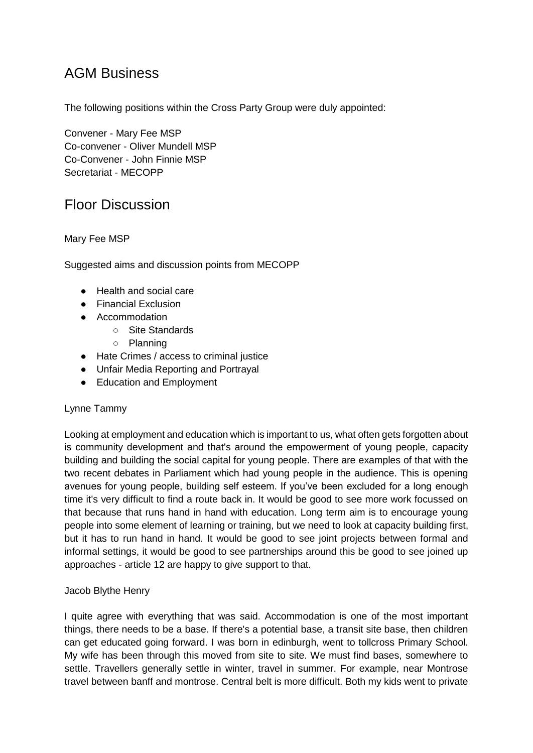## AGM Business

The following positions within the Cross Party Group were duly appointed:

Convener - Mary Fee MSP Co-convener - Oliver Mundell MSP Co-Convener - John Finnie MSP Secretariat - MECOPP

## Floor Discussion

## Mary Fee MSP

Suggested aims and discussion points from MECOPP

- Health and social care
- Financial Exclusion
- Accommodation
	- Site Standards
	- Planning
- Hate Crimes / access to criminal justice
- Unfair Media Reporting and Portrayal
- Education and Employment

#### Lynne Tammy

Looking at employment and education which is important to us, what often gets forgotten about is community development and that's around the empowerment of young people, capacity building and building the social capital for young people. There are examples of that with the two recent debates in Parliament which had young people in the audience. This is opening avenues for young people, building self esteem. If you've been excluded for a long enough time it's very difficult to find a route back in. It would be good to see more work focussed on that because that runs hand in hand with education. Long term aim is to encourage young people into some element of learning or training, but we need to look at capacity building first, but it has to run hand in hand. It would be good to see joint projects between formal and informal settings, it would be good to see partnerships around this be good to see joined up approaches - article 12 are happy to give support to that.

#### Jacob Blythe Henry

I quite agree with everything that was said. Accommodation is one of the most important things, there needs to be a base. If there's a potential base, a transit site base, then children can get educated going forward. I was born in edinburgh, went to tollcross Primary School. My wife has been through this moved from site to site. We must find bases, somewhere to settle. Travellers generally settle in winter, travel in summer. For example, near Montrose travel between banff and montrose. Central belt is more difficult. Both my kids went to private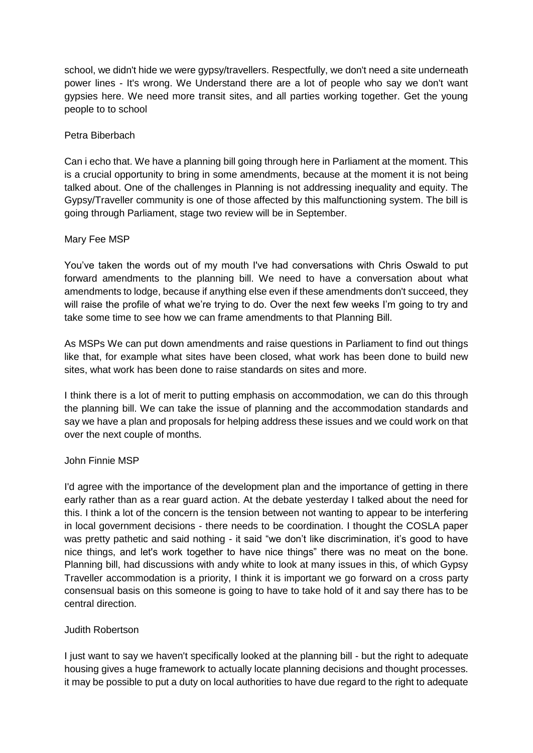school, we didn't hide we were gypsy/travellers. Respectfully, we don't need a site underneath power lines - It's wrong. We Understand there are a lot of people who say we don't want gypsies here. We need more transit sites, and all parties working together. Get the young people to to school

### Petra Biberbach

Can i echo that. We have a planning bill going through here in Parliament at the moment. This is a crucial opportunity to bring in some amendments, because at the moment it is not being talked about. One of the challenges in Planning is not addressing inequality and equity. The Gypsy/Traveller community is one of those affected by this malfunctioning system. The bill is going through Parliament, stage two review will be in September.

#### Mary Fee MSP

You've taken the words out of my mouth I've had conversations with Chris Oswald to put forward amendments to the planning bill. We need to have a conversation about what amendments to lodge, because if anything else even if these amendments don't succeed, they will raise the profile of what we're trying to do. Over the next few weeks I'm going to try and take some time to see how we can frame amendments to that Planning Bill.

As MSPs We can put down amendments and raise questions in Parliament to find out things like that, for example what sites have been closed, what work has been done to build new sites, what work has been done to raise standards on sites and more.

I think there is a lot of merit to putting emphasis on accommodation, we can do this through the planning bill. We can take the issue of planning and the accommodation standards and say we have a plan and proposals for helping address these issues and we could work on that over the next couple of months.

#### John Finnie MSP

I'd agree with the importance of the development plan and the importance of getting in there early rather than as a rear guard action. At the debate yesterday I talked about the need for this. I think a lot of the concern is the tension between not wanting to appear to be interfering in local government decisions - there needs to be coordination. I thought the COSLA paper was pretty pathetic and said nothing - it said "we don't like discrimination, it's good to have nice things, and let's work together to have nice things" there was no meat on the bone. Planning bill, had discussions with andy white to look at many issues in this, of which Gypsy Traveller accommodation is a priority, I think it is important we go forward on a cross party consensual basis on this someone is going to have to take hold of it and say there has to be central direction.

#### Judith Robertson

I just want to say we haven't specifically looked at the planning bill - but the right to adequate housing gives a huge framework to actually locate planning decisions and thought processes. it may be possible to put a duty on local authorities to have due regard to the right to adequate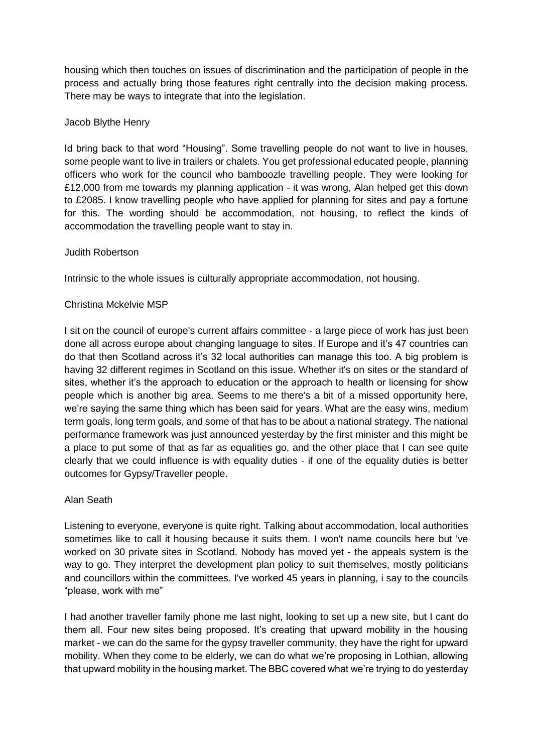housing which then touches on issues of discrimination and the participation of people in the process and actually bring those features right centrally into the decision making process. There may be ways to integrate that into the legislation.

### Jacob Blythe Henry

Id bring back to that word "Housing". Some travelling people do not want to live in houses, some people want to live in trailers or chalets. You get professional educated people, planning officers who work for the council who bamboozle travelling people. They were looking for £12,000 from me towards my planning application - it was wrong, Alan helped get this down to £2085. I know travelling people who have applied for planning for sites and pay a fortune for this. The wording should be accommodation, not housing, to reflect the kinds of accommodation the travelling people want to stay in.

#### Judith Robertson

Intrinsic to the whole issues is culturally appropriate accommodation, not housing.

#### Christina Mckelvie MSP

I sit on the council of europe's current affairs committee - a large piece of work has just been done all across europe about changing language to sites. If Europe and it's 47 countries can do that then Scotland across it's 32 local authorities can manage this too. A big problem is having 32 different regimes in Scotland on this issue. Whether it's on sites or the standard of sites, whether it's the approach to education or the approach to health or licensing for show people which is another big area. Seems to me there's a bit of a missed opportunity here, we're saying the same thing which has been said for years. What are the easy wins, medium term goals, long term goals, and some of that has to be about a national strategy. The national performance framework was just announced yesterday by the first minister and this might be a place to put some of that as far as equalities go, and the other place that I can see quite clearly that we could influence is with equality duties - if one of the equality duties is better outcomes for Gypsy/Traveller people.

#### Alan Seath

Listening to everyone, everyone is quite right. Talking about accommodation, local authorities sometimes like to call it housing because it suits them. I won't name councils here but 've worked on 30 private sites in Scotland. Nobody has moved yet - the appeals system is the way to go. They interpret the development plan policy to suit themselves, mostly politicians and councillors within the committees. I've worked 45 years in planning, i say to the councils "please, work with me"

I had another traveller family phone me last night, looking to set up a new site, but I cant do them all. Four new sites being proposed. It's creating that upward mobility in the housing market - we can do the same for the gypsy traveller community, they have the right for upward mobility. When they come to be elderly, we can do what we're proposing in Lothian, allowing that upward mobility in the housing market. The BBC covered what we're trying to do yesterday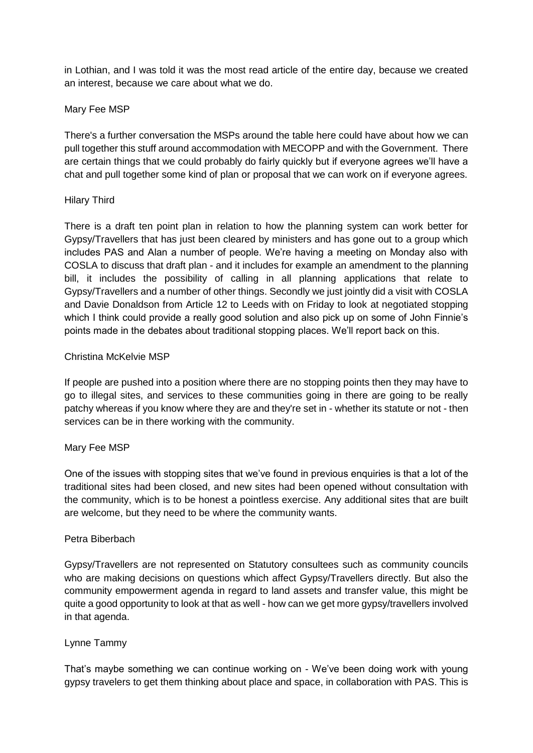in Lothian, and I was told it was the most read article of the entire day, because we created an interest, because we care about what we do.

#### Mary Fee MSP

There's a further conversation the MSPs around the table here could have about how we can pull together this stuff around accommodation with MECOPP and with the Government. There are certain things that we could probably do fairly quickly but if everyone agrees we'll have a chat and pull together some kind of plan or proposal that we can work on if everyone agrees.

#### Hilary Third

There is a draft ten point plan in relation to how the planning system can work better for Gypsy/Travellers that has just been cleared by ministers and has gone out to a group which includes PAS and Alan a number of people. We're having a meeting on Monday also with COSLA to discuss that draft plan - and it includes for example an amendment to the planning bill, it includes the possibility of calling in all planning applications that relate to Gypsy/Travellers and a number of other things. Secondly we just jointly did a visit with COSLA and Davie Donaldson from Article 12 to Leeds with on Friday to look at negotiated stopping which I think could provide a really good solution and also pick up on some of John Finnie's points made in the debates about traditional stopping places. We'll report back on this.

#### Christina McKelvie MSP

If people are pushed into a position where there are no stopping points then they may have to go to illegal sites, and services to these communities going in there are going to be really patchy whereas if you know where they are and they're set in - whether its statute or not - then services can be in there working with the community.

#### Mary Fee MSP

One of the issues with stopping sites that we've found in previous enquiries is that a lot of the traditional sites had been closed, and new sites had been opened without consultation with the community, which is to be honest a pointless exercise. Any additional sites that are built are welcome, but they need to be where the community wants.

#### Petra Biberbach

Gypsy/Travellers are not represented on Statutory consultees such as community councils who are making decisions on questions which affect Gypsy/Travellers directly. But also the community empowerment agenda in regard to land assets and transfer value, this might be quite a good opportunity to look at that as well - how can we get more gypsy/travellers involved in that agenda.

#### Lynne Tammy

That's maybe something we can continue working on - We've been doing work with young gypsy travelers to get them thinking about place and space, in collaboration with PAS. This is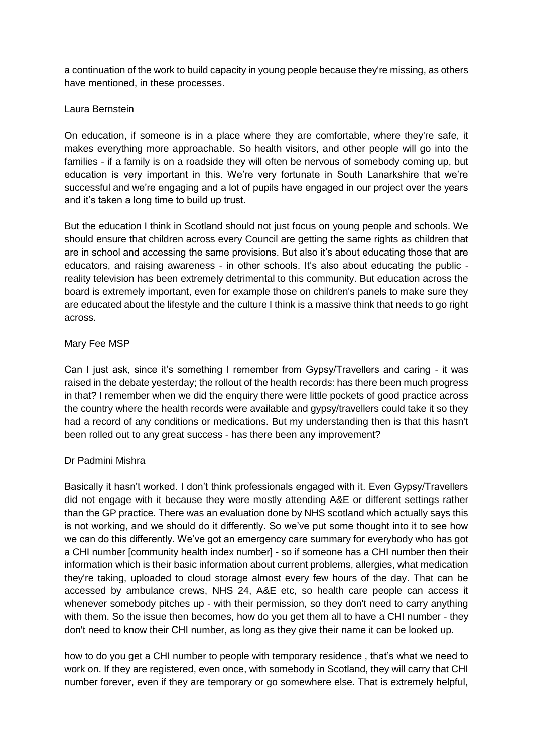a continuation of the work to build capacity in young people because they're missing, as others have mentioned, in these processes.

### Laura Bernstein

On education, if someone is in a place where they are comfortable, where they're safe, it makes everything more approachable. So health visitors, and other people will go into the families - if a family is on a roadside they will often be nervous of somebody coming up, but education is very important in this. We're very fortunate in South Lanarkshire that we're successful and we're engaging and a lot of pupils have engaged in our project over the years and it's taken a long time to build up trust.

But the education I think in Scotland should not just focus on young people and schools. We should ensure that children across every Council are getting the same rights as children that are in school and accessing the same provisions. But also it's about educating those that are educators, and raising awareness - in other schools. It's also about educating the public reality television has been extremely detrimental to this community. But education across the board is extremely important, even for example those on children's panels to make sure they are educated about the lifestyle and the culture I think is a massive think that needs to go right across.

## Mary Fee MSP

Can I just ask, since it's something I remember from Gypsy/Travellers and caring - it was raised in the debate yesterday; the rollout of the health records: has there been much progress in that? I remember when we did the enquiry there were little pockets of good practice across the country where the health records were available and gypsy/travellers could take it so they had a record of any conditions or medications. But my understanding then is that this hasn't been rolled out to any great success - has there been any improvement?

#### Dr Padmini Mishra

Basically it hasn't worked. I don't think professionals engaged with it. Even Gypsy/Travellers did not engage with it because they were mostly attending A&E or different settings rather than the GP practice. There was an evaluation done by NHS scotland which actually says this is not working, and we should do it differently. So we've put some thought into it to see how we can do this differently. We've got an emergency care summary for everybody who has got a CHI number [community health index number] - so if someone has a CHI number then their information which is their basic information about current problems, allergies, what medication they're taking, uploaded to cloud storage almost every few hours of the day. That can be accessed by ambulance crews, NHS 24, A&E etc, so health care people can access it whenever somebody pitches up - with their permission, so they don't need to carry anything with them. So the issue then becomes, how do you get them all to have a CHI number - they don't need to know their CHI number, as long as they give their name it can be looked up.

how to do you get a CHI number to people with temporary residence , that's what we need to work on. If they are registered, even once, with somebody in Scotland, they will carry that CHI number forever, even if they are temporary or go somewhere else. That is extremely helpful,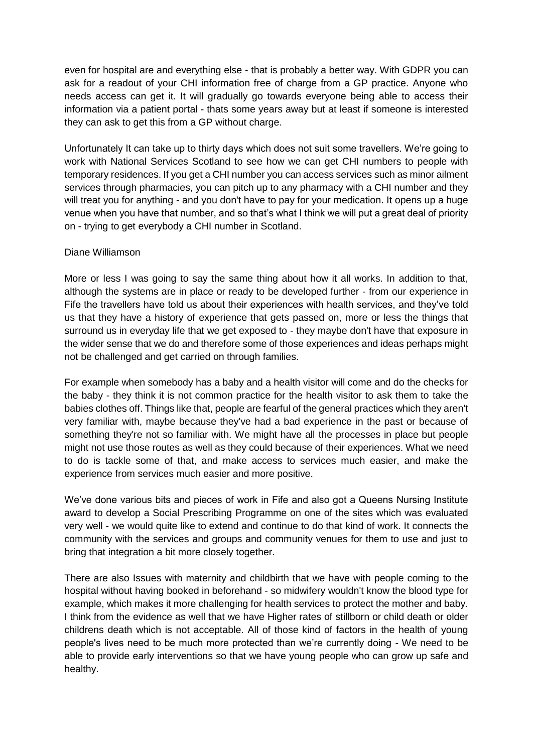even for hospital are and everything else - that is probably a better way. With GDPR you can ask for a readout of your CHI information free of charge from a GP practice. Anyone who needs access can get it. It will gradually go towards everyone being able to access their information via a patient portal - thats some years away but at least if someone is interested they can ask to get this from a GP without charge.

Unfortunately It can take up to thirty days which does not suit some travellers. We're going to work with National Services Scotland to see how we can get CHI numbers to people with temporary residences. If you get a CHI number you can access services such as minor ailment services through pharmacies, you can pitch up to any pharmacy with a CHI number and they will treat you for anything - and you don't have to pay for your medication. It opens up a huge venue when you have that number, and so that's what I think we will put a great deal of priority on - trying to get everybody a CHI number in Scotland.

#### Diane Williamson

More or less I was going to say the same thing about how it all works. In addition to that, although the systems are in place or ready to be developed further - from our experience in Fife the travellers have told us about their experiences with health services, and they've told us that they have a history of experience that gets passed on, more or less the things that surround us in everyday life that we get exposed to - they maybe don't have that exposure in the wider sense that we do and therefore some of those experiences and ideas perhaps might not be challenged and get carried on through families.

For example when somebody has a baby and a health visitor will come and do the checks for the baby - they think it is not common practice for the health visitor to ask them to take the babies clothes off. Things like that, people are fearful of the general practices which they aren't very familiar with, maybe because they've had a bad experience in the past or because of something they're not so familiar with. We might have all the processes in place but people might not use those routes as well as they could because of their experiences. What we need to do is tackle some of that, and make access to services much easier, and make the experience from services much easier and more positive.

We've done various bits and pieces of work in Fife and also got a Queens Nursing Institute award to develop a Social Prescribing Programme on one of the sites which was evaluated very well - we would quite like to extend and continue to do that kind of work. It connects the community with the services and groups and community venues for them to use and just to bring that integration a bit more closely together.

There are also Issues with maternity and childbirth that we have with people coming to the hospital without having booked in beforehand - so midwifery wouldn't know the blood type for example, which makes it more challenging for health services to protect the mother and baby. I think from the evidence as well that we have Higher rates of stillborn or child death or older childrens death which is not acceptable. All of those kind of factors in the health of young people's lives need to be much more protected than we're currently doing - We need to be able to provide early interventions so that we have young people who can grow up safe and healthy.